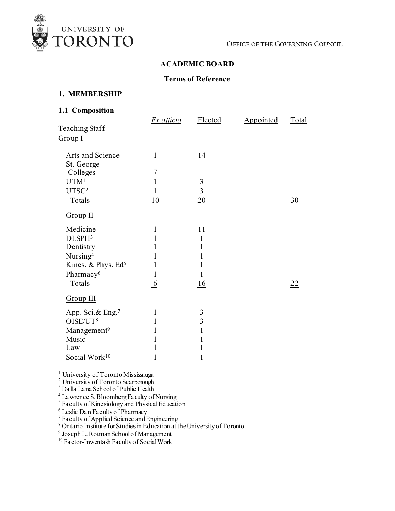

# **ACADEMIC BOARD**

# **Terms of Reference**

#### **1. MEMBERSHIP**

# **1.1 Composition**

| <b>Teaching Staff</b><br>Group I | <b>Ex</b> officio                | Elected        | Appointed | <b>Total</b>   |
|----------------------------------|----------------------------------|----------------|-----------|----------------|
| Arts and Science<br>St. George   | $\mathbf{1}$                     | 14             |           |                |
| Colleges<br>UTM <sup>1</sup>     | $\boldsymbol{7}$<br>$\mathbf{1}$ |                |           |                |
| UTSC <sup>2</sup><br>Totals      | $\frac{1}{10}$                   | $\frac{3}{20}$ |           | $\frac{30}{2}$ |
| Group II                         |                                  |                |           |                |
| Medicine                         | $\mathbf{1}$                     | 11             |           |                |
| DLSPH <sup>3</sup>               | 1                                | 1              |           |                |
| Dentistry                        | 1                                | $\mathbf{1}$   |           |                |
| Nursing <sup>4</sup>             | 1                                | 1              |           |                |
| Kines. & Phys. Ed <sup>5</sup>   | $\mathbf{1}$                     | 1              |           |                |
| Pharmacy <sup>6</sup>            |                                  | $\overline{1}$ |           |                |
| Totals                           | $\frac{1}{6}$                    | 16             |           | 22             |
| Group III                        |                                  |                |           |                |
| App. Sci.& Eng. <sup>7</sup>     | $\mathbf{1}$                     | $\mathfrak{Z}$ |           |                |
| OISE/UT <sup>8</sup>             | 1                                | $\overline{3}$ |           |                |
| Management <sup>9</sup>          | 1                                | $\mathbf{1}$   |           |                |
| Music                            | 1                                | 1              |           |                |
| Law                              | 1                                | 1              |           |                |
| Social Work <sup>10</sup>        | 1                                | 1              |           |                |
|                                  |                                  |                |           |                |

<span id="page-0-1"></span><span id="page-0-0"></span><sup>1</sup> University of Toronto Mississauga

<span id="page-0-2"></span><sup>2</sup> University of Toronto Scarborough

<sup>3</sup> Dalla Lana School of Public Health

<span id="page-0-3"></span><sup>4</sup> Lawrence S. Bloomberg Faculty of Nursing

<span id="page-0-4"></span><sup>5</sup> Faculty of Kinesiology and Physical Education

<span id="page-0-5"></span><sup>6</sup> Leslie Dan Faculty of Pharmacy

<span id="page-0-6"></span><sup>7</sup> Faculty of Applied Science and Engineering

<span id="page-0-7"></span><sup>8</sup> Ontario Institute for Studies in Education at the University of Toronto

<span id="page-0-8"></span><sup>9</sup> Joseph L. Rotman School of Management

<span id="page-0-9"></span><sup>10</sup> Factor-Inwentash Faculty of Social Work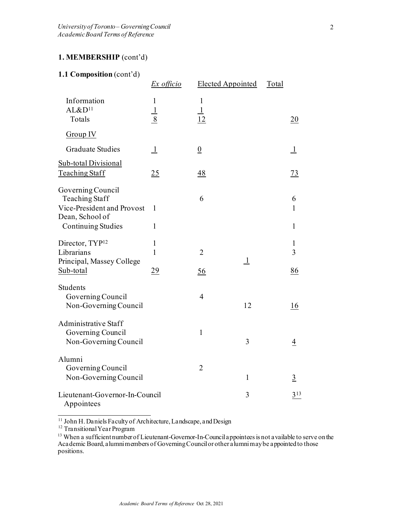# **1. MEMBERSHIP** (cont'd)

#### **1.1 Composition** (cont'd)

|                                                                                                                          | $Ex$ officio                  | <b>Elected Appointed</b>      |              | Total |                                   |
|--------------------------------------------------------------------------------------------------------------------------|-------------------------------|-------------------------------|--------------|-------|-----------------------------------|
| Information<br>AL&D <sup>11</sup><br>Totals                                                                              | $\mathbf{1}$<br>$\frac{1}{8}$ | $\mathbf{1}$<br>$\perp$<br>12 |              |       | 20                                |
| Group IV                                                                                                                 |                               |                               |              |       |                                   |
| <b>Graduate Studies</b>                                                                                                  | $\perp$                       | $\underline{0}$               |              |       | $\mathbf{1}$                      |
| Sub-total Divisional<br><b>Teaching Staff</b>                                                                            | 25                            | $\frac{48}{1}$                |              |       | $\frac{73}{2}$                    |
| Governing Council<br><b>Teaching Staff</b><br>Vice-President and Provost<br>Dean, School of<br><b>Continuing Studies</b> | 1<br>$\mathbf{1}$             | 6                             |              |       | 6<br>$\mathbf{1}$<br>$\mathbf{1}$ |
| Director, TYP <sup>12</sup><br>Librarians<br>Principal, Massey College<br>Sub-total                                      | 1<br>$\mathbf{1}$<br>29       | $\overline{2}$<br>56          | $\perp$      |       | 1<br>3<br>86                      |
| Students<br>Governing Council<br>Non-Governing Council                                                                   |                               | $\overline{4}$                | 12           |       | 16                                |
| Administrative Staff<br>Governing Council<br>Non-Governing Council                                                       |                               | $\mathbf{1}$                  | 3            |       | $\overline{4}$                    |
| Alumni<br>Governing Council<br>Non-Governing Council                                                                     |                               | $\overline{2}$                | $\mathbf{1}$ |       | $\overline{3}$                    |
| Lieutenant-Governor-In-Council<br>Appointees                                                                             |                               |                               | 3            |       | 313                               |

<span id="page-1-1"></span><span id="page-1-0"></span><sup>11</sup> John H. Daniels Faculty of Architecture, Landscape, and Design <sup>12</sup> Transitional Year Program

<span id="page-1-2"></span><sup>13</sup> When a sufficient number of Lieutenant-Governor-In-Council appointees is not a vailable to serve on the Academic Board, alumni members of Governing Council or other alumni may be appointed to those positions.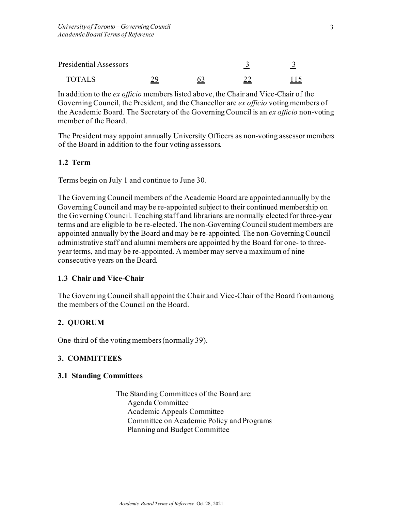| Presidential Assessors |  |  |
|------------------------|--|--|
| <b>TOTALS</b>          |  |  |

In addition to the *ex officio* members listed above, the Chair and Vice-Chair of the Governing Council, the President, and the Chancellor are *ex officio* voting members of the Academic Board. The Secretary of the Governing Council is an *ex officio* non-voting member of the Board.

The President may appoint annually University Officers as non-voting assessor members of the Board in addition to the four voting assessors.

#### **1.2 Term**

Terms begin on July 1 and continue to June 30.

The Governing Council members of the Academic Board are appointed annually by the Governing Council and may be re-appointed subject to their continued membership on the Governing Council. Teaching staff and librarians are normally elected for three-year terms and are eligible to be re-elected. The non-Governing Council student members are appointed annually by the Board and may be re-appointed. The non-Governing Council administrative staff and alumni members are appointed by the Board for one- to threeyear terms, and may be re-appointed. A member may serve a maximum of nine consecutive years on the Board.

# **1.3 Chair and Vice-Chair**

The Governing Council shall appoint the Chair and Vice-Chair of the Board from among the members of the Council on the Board.

# **2. QUORUM**

One-third of the voting members (normally 39).

# **3. COMMITTEES**

#### **3.1 Standing Committees**

The Standing Committees of the Board are: Agenda Committee Academic Appeals Committee Committee on Academic Policy and Programs Planning and Budget Committee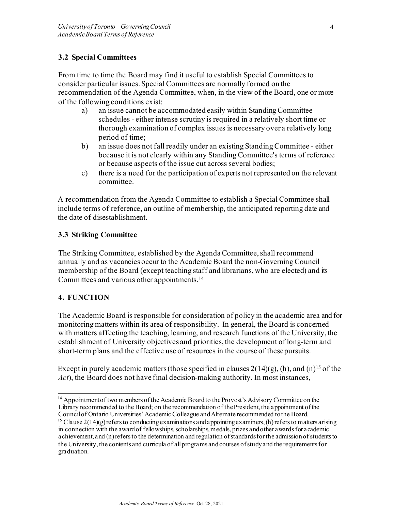# **3.2 Special Committees**

From time to time the Board may find it useful to establish Special Committees to consider particular issues. Special Committees are normally formed on the recommendation of the Agenda Committee, when, in the view of the Board, one or more of the following conditions exist:

- a) an issue cannot be accommodated easily within Standing Committee schedules - either intense scrutiny is required in a relatively short time or thorough examination of complex issues is necessary over a relatively long period of time;
- b) an issue does not fall readily under an existing Standing Committee either because it is not clearly within any Standing Committee's terms of reference or because aspects of the issue cut across several bodies;
- c) there is a need for the participation of experts not represented on the relevant committee.

A recommendation from the Agenda Committee to establish a Special Committee shall include terms of reference, an outline of membership, the anticipated reporting date and the date of disestablishment.

#### **3.3 Striking Committee**

The Striking Committee, established by the Agenda Committee, shall recommend annually and as vacancies occur to the Academic Board the non-Governing Council membership of the Board (except teaching staff and librarians, who are elected) and its Committees and various other appointment[s.14](#page-3-0)

# **4. FUNCTION**

The Academic Board is responsible for consideration of policy in the academic area and for monitoring matters within its area of responsibility. In general, the Board is concerned with matters affecting the teaching, learning, and research functions of the University, the establishment of University objectives and priorities, the development of long-term and short-term plans and the effective use of resources in the course of thesepursuits.

Except in purely academic matters (those specified in clauses  $2(14)(g)$ , (h), and (n)<sup>15</sup> of the *Act*), the Board does not have final decision-making authority. In most instances,

<span id="page-3-0"></span><sup>&</sup>lt;sup>14</sup> Appointment of two members of the Academic Board to the Provost's Advisory Committee on the Library recommended to the Board; on the recommendation of the President, the appointment of the Council of Ontario Universities' Academic Colleague and Alternate recommended to the Board.

<span id="page-3-1"></span><sup>&</sup>lt;sup>15</sup> Clause 2(14)(g) refers to conducting examinations and appointing examiners, (h) refers to matters arising in connection with the award of fellowships, scholarships, medals, prizes and other awards for academic achievement, and (n) refers to the determination and regulation of standards for the admission of students to the University, the contents and curricula of all programs and courses of study and the requirements for graduation.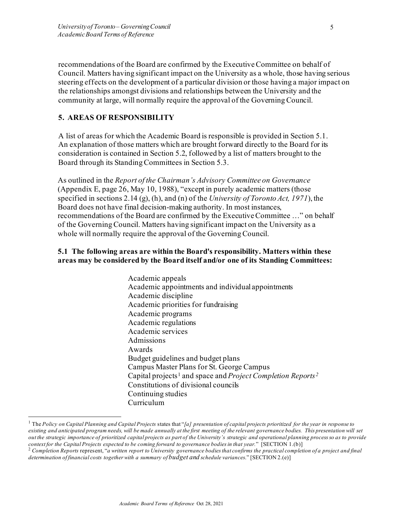recommendations of the Board are confirmed by the Executive Committee on behalf of Council. Matters having significant impact on the University as a whole, those having serious steering effects on the development of a particular division or those having a major impact on the relationships amongst divisions and relationships between the University and the community at large, will normally require the approval of the Governing Council.

# **5. AREAS OF RESPONSIBILITY**

A list of areas for which the Academic Board is responsible is provided in Section 5.1. An explanation of those matters which are brought forward directly to the Board for its consideration is contained in Section 5.2, followed by a list of matters brought to the Board through its Standing Committees in Section 5.3.

As outlined in the *Report of the Chairman's Advisory Committee on Governance*  (Appendix E, page 26, May 10, 1988), "except in purely academic matters (those specified in sections 2.14 (g), (h), and (n) of the *University of Toronto Act, 1971*), the Board does not have final decision-making authority. In most instances, recommendations of the Board are confirmed by the Executive Committee …" on behalf of the Governing Council. Matters having significant impact on the University as a whole will normally require the approval of the Governing Council.

#### **5.1 The following areas are within the Board's responsibility. Matters within these areas may be considered by the Board itself and/or one of its Standing Committees:**

Academic appeals Academic appointments and individual appointments Academic discipline Academic priorities for fundraising Academic programs Academic regulations Academic services Admissions Awards Budget guidelines and budget plans Campus Master Plans for St. George Campus Capital projects[1](#page-4-0) and space and *Project Completion Reports[2](#page-4-1)* Constitutions of divisional councils Continuing studies Curriculum

<span id="page-4-0"></span><sup>1</sup> The *Policy on Capital Planning and Capital Projects* states that "*[a] presentation of capital projects prioritized for the year in response to*  existing and anticipated program needs, will be made annually at the first meeting of the relevant governance bodies. This presentation will set *out the strategic importance of prioritized capital projects as part of the University's strategic and operational planning process so as to provide context for the Capital Projects expected to be coming forward to governance bodies in that year.*" [SECTION 1.(b)]

<span id="page-4-1"></span><sup>2</sup> *Completion Reports* represent, "*a written report to University governance bodiesthat confirms the practical completion of a project and final determination of financial costs together with a summary of budget and schedule variances*." [SECTION 2.(e)]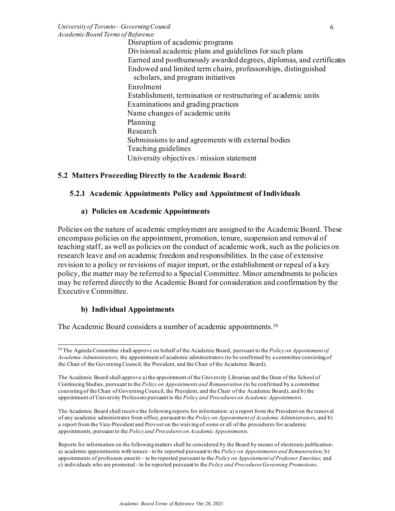*University of Toronto – Governing Council Academic Board Terms of Reference*

Disruption of academic programs Divisional academic plans and guidelines for such plans Earned and posthumously awarded degrees, diplomas, and certificates Endowed and limited term chairs, professorships, distinguished scholars, and program initiatives Enrolment Establishment, termination or restructuring of academic units Examinations and grading practices Name changes of academic units Planning Research Submissions to and agreements with external bodies Teaching guidelines University objectives / mission statement

#### **5.2 Matters Proceeding Directly to the Academic Board:**

#### **5.2.1 Academic Appointments Policy and Appointment of Individuals**

#### **a) Policies on Academic Appointments**

Policies on the nature of academic employment are assigned to the Academic Board. These encompass policies on the appointment, promotion, tenure, suspension and removal of teaching staff, as well as policies on the conduct of academic work, such as the policies on research leave and on academic freedom and responsibilities. In the case of extensive revision to a policy or revisions of major import, or the establishment or repeal of a key policy, the matter may be referred to a Special Committee. Minor amendments to policies may be referred directly to the Academic Board for consideration and confirmation by the Executive Committee.

#### **b) Individual Appointments**

The Academic Board considers a number of academic appointments.<sup>16</sup>

The Academic Board shall receive the following reports for information: a) a report from the President on the removal of any academic administrator from office, pursuant to the *Policy on Appointment of Academic Administrators*, and b) a report from the Vice-President and Provost on the waiving of some or all of the procedures for academic appointments, pursuant to the *Policy and Procedures on Academic Appointments*.

Reports for information on the following matters shall be considered by the Board by means of electronic publication: a) academic appointments with tenure - to be reported pursuant to the *Policy on Appointments and Remuneration*; b) appointments of professors emeriti – to be reported pursuant to the *Policy on Appointment of Professor Emeritus*; and c) individuals who are promoted - to be reported pursuant to the *Policy and Procedures Governing Promotions*.

<span id="page-5-0"></span><sup>16</sup> The Agenda Committee shall approve on behalf of the Academic Board, pursuant to the *Policy on Appointment of Academic Administrators*, the appointment of academic administrators (to be confirmed by a committee consisting of the Chair of the Governing Council, the President, and the Chair of the Academic Board).

The Academic Board shall approve a) the appointment of the University Librarian and the Dean of the School of Continuing Studies, pursuant to the *Policy on Appointments and Remuneration* (to be confirmed by a committee consisting of the Chair of Governing Council, the President, and the Chair of the Academic Board), and b) the appointment of University Professors pursuant to the *Policy and Procedures on Academic Appointments*.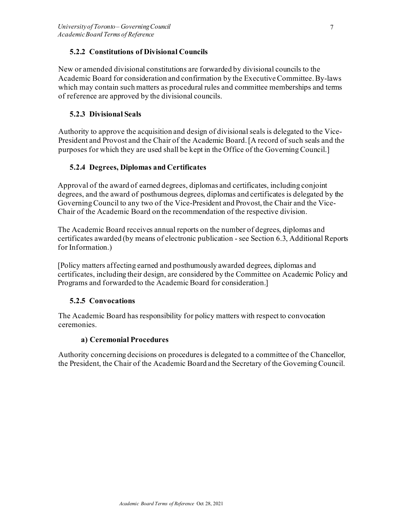# **5.2.2 Constitutions of Divisional Councils**

New or amended divisional constitutions are forwarded by divisional councils to the Academic Board for consideration and confirmation by the Executive Committee. By-laws which may contain such matters as procedural rules and committee memberships and terms of reference are approved by the divisional councils.

# **5.2.3 Divisional Seals**

Authority to approve the acquisition and design of divisional seals is delegated to the Vice-President and Provost and the Chair of the Academic Board. [A record of such seals and the purposes for which they are used shall be kept in the Office of the Governing Council.]

# **5.2.4 Degrees, Diplomas and Certificates**

Approval of the award of earned degrees, diplomas and certificates, including conjoint degrees, and the award of posthumous degrees, diplomas and certificates is delegated by the Governing Council to any two of the Vice-President and Provost, the Chair and the Vice-Chair of the Academic Board on the recommendation of the respective division.

The Academic Board receives annual reports on the number of degrees, diplomas and certificates awarded (by means of electronic publication - see Section 6.3, Additional Reports for Information.)

[Policy matters affecting earned and posthumously awarded degrees, diplomas and certificates, including their design, are considered by the Committee on Academic Policy and Programs and forwarded to the Academic Board for consideration.]

# **5.2.5 Convocations**

The Academic Board has responsibility for policy matters with respect to convocation ceremonies.

# **a) Ceremonial Procedures**

Authority concerning decisions on procedures is delegated to a committee of the Chancellor, the President, the Chair of the Academic Board and the Secretary of the Governing Council.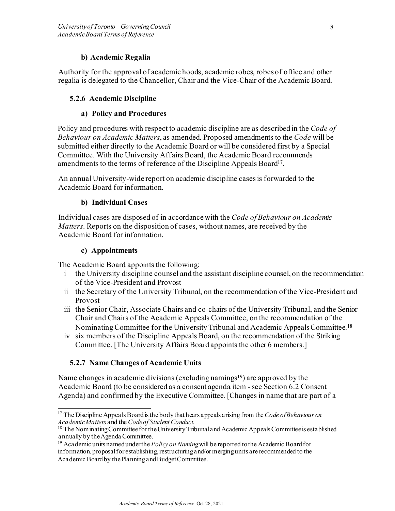### **b) Academic Regalia**

Authority for the approval of academic hoods, academic robes, robes of office and other regalia is delegated to the Chancellor, Chair and the Vice-Chair of the Academic Board.

### **5.2.6 Academic Discipline**

#### **a) Policy and Procedures**

Policy and procedures with respect to academic discipline are as described in the *Code of Behaviour on Academic Matters*, as amended. Proposed amendments to the *Code* will be submitted either directly to the Academic Board or will be considered first by a Special Committee. With the University Affairs Board, the Academic Board recommends amendments to the terms of reference of the Discipline Appeals Board<sup>17</sup>.

An annual University-wide report on academic discipline cases is forwarded to the Academic Board for information.

#### **b) Individual Cases**

Individual cases are disposed of in accordance with the *Code of Behaviour on Academic Matters*. Reports on the disposition of cases, without names, are received by the Academic Board for information.

#### **c) Appointments**

The Academic Board appoints the following:

- i the University discipline counsel and the assistant discipline counsel, on the recommendation of the Vice-President and Provost
- ii the Secretary of the University Tribunal, on the recommendation of the Vice-President and Provost
- iii the Senior Chair, Associate Chairs and co-chairs of the University Tribunal, and the Senior Chair and Chairs of the Academic Appeals Committee, on the recommendation of the Nominating Committee for the University Tribunal and Academic Appeals Committee.<sup>18</sup>
- iv six members of the Discipline Appeals Board, on the recommendation of the Striking Committee. [The University Affairs Board appoints the other 6 members.]

# **5.2.7 Name Changes of Academic Units**

Name changes in academic divisions (excluding namings<sup>19</sup>) are approved by the Academic Board (to be considered as a consent agenda item - see Section 6.2 Consent Agenda) and confirmed by the Executive Committee. [Changes in name that are part of a

<span id="page-7-0"></span><sup>&</sup>lt;sup>17</sup> The Discipline Appeals Board is the body that hears appeals arising from the *Code of Behaviour on Academic Matters* and the *Code of Student Conduct*.

<span id="page-7-1"></span><sup>&</sup>lt;sup>18</sup> The Nominating Committee for the University Tribunal and Academic Appeals Committee is established annually by the Agenda Committee.

<span id="page-7-2"></span><sup>19</sup> Academic units named under the *Policy on Naming* will be reported to the Academic Board for information. proposal for establishing, restructuring and/or merging units are recommended to the Academic Board by the Planning and Budget Committee.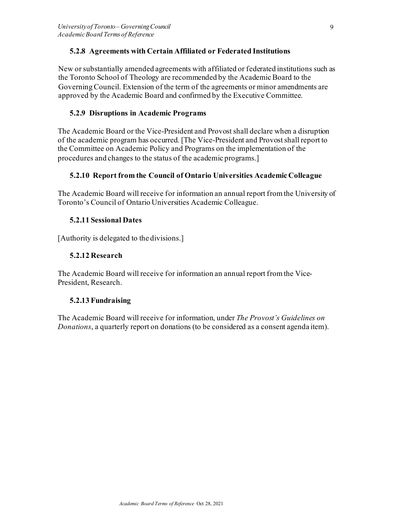# **5.2.8 Agreements with Certain Affiliated or Federated Institutions**

New or substantially amended agreements with affiliated or federated institutions such as the Toronto School of Theology are recommended by the Academic Board to the Governing Council. Extension of the term of the agreements or minor amendments are approved by the Academic Board and confirmed by the Executive Committee.

#### **5.2.9 Disruptions in Academic Programs**

The Academic Board or the Vice-President and Provost shall declare when a disruption of the academic program has occurred. [The Vice-President and Provost shall report to the Committee on Academic Policy and Programs on the implementation of the procedures and changes to the status of the academic programs.]

#### **5.2.10 Report from the Council of Ontario Universities Academic Colleague**

The Academic Board will receive for information an annual report from the University of Toronto's Council of Ontario Universities Academic Colleague.

#### **5.2.11 Sessional Dates**

[Authority is delegated to the divisions.]

#### **5.2.12 Research**

The Academic Board will receive for information an annual report from the Vice-President, Research.

#### **5.2.13 Fundraising**

The Academic Board will receive for information, under *The Provost's Guidelines on Donations*, a quarterly report on donations (to be considered as a consent agenda item).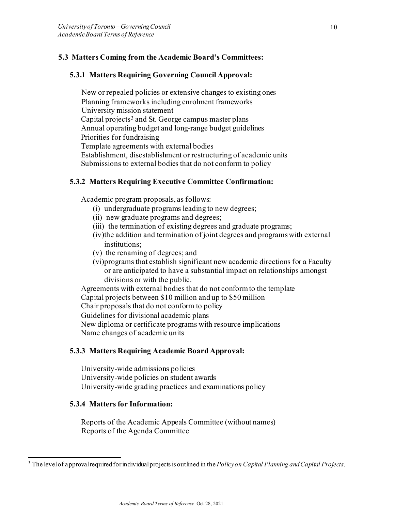# **5.3 Matters Coming from the Academic Board's Committees:**

### **5.3.1 Matters Requiring Governing Council Approval:**

New or repealed policies or extensive changes to existing ones Planning frameworks including enrolment frameworks University mission statement Capital projects<sup>[3](#page-9-0)</sup> and St. George campus master plans Annual operating budget and long-range budget guidelines Priorities for fundraising Template agreements with external bodies Establishment, disestablishment or restructuring of academic units Submissions to external bodies that do not conform to policy

#### **5.3.2 Matters Requiring Executive Committee Confirmation:**

Academic program proposals, as follows:

- (i) undergraduate programs leading to new degrees;
- (ii) new graduate programs and degrees;
- (iii) the termination of existing degrees and graduate programs;
- (iv)the addition and termination of joint degrees and programs with external institutions;
- (v) the renaming of degrees; and
- (vi)programs that establish significant new academic directions for a Faculty or are anticipated to have a substantial impact on relationships amongst divisions or with the public.

Agreements with external bodies that do not conform to the template Capital projects between \$10 million and up to \$50 million Chair proposals that do not conform to policy Guidelines for divisional academic plans New diploma or certificate programs with resource implications Name changes of academic units

#### **5.3.3 Matters Requiring Academic Board Approval:**

University-wide admissions policies University-wide policies on student awards University-wide grading practices and examinations policy

#### **5.3.4 Matters for Information:**

Reports of the Academic Appeals Committee (without names) Reports of the Agenda Committee

<span id="page-9-0"></span><sup>3</sup> The level of approval required for individual projects is outlined in the *Policy on Capital Planning and Capital Projects*.